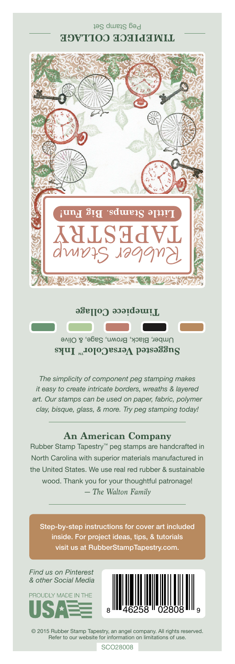Peg Stamp Set **LIMELIECE COLLAGE** 



## **Timepiece Collage**

Umber, Black, Brown, Sage, & Olive Suggested VersaColor<sup>m</sup> Inks

*The simplicity of component peg stamping makes it easy to create intricate borders, wreaths & layered art. Our stamps can be used on paper, fabric, polymer clay, bisque, glass, & more. Try peg stamping today!*

## **An American Company**

*— The Walton Family* Rubber Stamp Tapestry™ peg stamps are handcrafted in North Carolina with superior materials manufactured in the United States. We use real red rubber & sustainable wood. Thank you for your thoughtful patronage!

Step-by-step instructions for cover art included inside. For project ideas, tips, & tutorials visit us at RubberStampTapestry.com.

*Find us on Pinterest & other Social Media*





© 2015 Rubber Stamp Tapestry, an angel company. All rights reserved. Refer to our website for information on limitations of use.